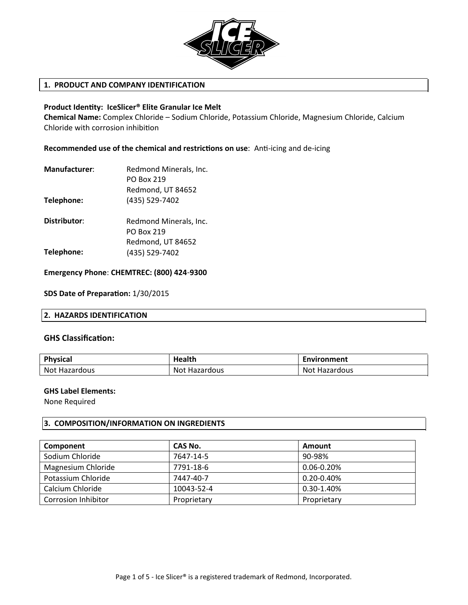

# **1. PRODUCT AND COMPANY IDENTIFICATION**

## **Product Identty: IceSlicer® Elite Granular Ice Melt**

**Chemical Name:** Complex Chloride – Sodium Chloride, Potassium Chloride, Magnesium Chloride, Calcium Chloride with corrosion inhibiton

**Recommended use of the chemical and restrictons on use:** Ant-icing and de-icing

| Manufacturer: | Redmond Minerals, Inc. |  |
|---------------|------------------------|--|
|               | <b>PO Box 219</b>      |  |
|               | Redmond, UT 84652      |  |
| Telephone:    | (435) 529-7402         |  |

Redmond Minerals, Inc. PO Box 219 Redmond, UT 84652 (435) 529-7402 **Distributor: Telephone:**

**Emergency Phone**: **CHEMTREC: (800) 424-9300**

**SDS Date of Preparaton:** 1/30/2015

# **2. HAZARDS IDENTIFICATION**

## **GHS Classificaton:**

| <b>Physical</b>      | Health               | Environment   |
|----------------------|----------------------|---------------|
| <b>Not Hazardous</b> | <b>Not Hazardous</b> | Not Hazardous |

## **GHS Label Elements:**

None Required

# **3. COMPOSITION/INFORMATION ON INGREDIENTS**

| Component                  | CAS No.     | Amount          |
|----------------------------|-------------|-----------------|
| Sodium Chloride            | 7647-14-5   | 90-98%          |
| Magnesium Chloride         | 7791-18-6   | $0.06 - 0.20%$  |
| Potassium Chloride         | 7447-40-7   | $0.20 - 0.40\%$ |
| Calcium Chloride           | 10043-52-4  | 0.30-1.40%      |
| <b>Corrosion Inhibitor</b> | Proprietary | Proprietary     |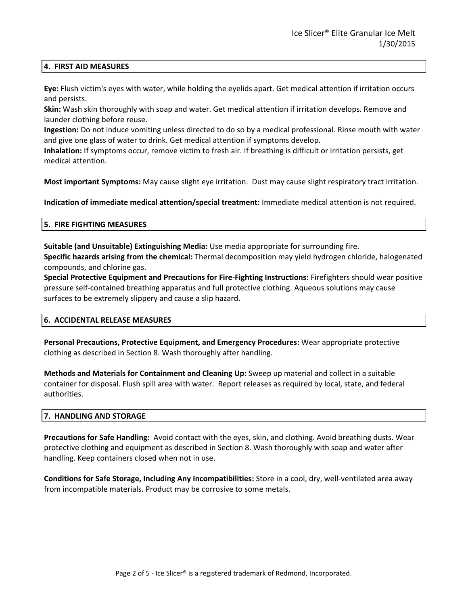## **4. FIRST AID MEASURES**

**Eye:** Flush victim's eyes with water, while holding the eyelids apart. Get medical attention if irritation occurs and persists.

**Skin:** Wash skin thoroughly with soap and water. Get medical attention if irritation develops. Remove and launder clothing before reuse.

**Ingestion:** Do not induce vomiting unless directed to do so by a medical professional. Rinse mouth with water and give one glass of water to drink. Get medical attention if symptoms develop.

**Inhalation:** If symptoms occur, remove victim to fresh air. If breathing is difficult or irritation persists, get medical attention.

**Most important Symptoms:** May cause slight eye irritation. Dust may cause slight respiratory tract irritation.

**Indication of immediate medical attention/special treatment:** Immediate medical attention is not required.

# **5. FIRE FIGHTING MEASURES**

**Suitable (and Unsuitable) Extinguishing Media:** Use media appropriate for surrounding fire. **Specific hazards arising from the chemical:** Thermal decomposition may yield hydrogen chloride, halogenated compounds, and chlorine gas.

**Special Protective Equipment and Precautions for Fire-Fighting Instructions:** Firefighters should wear positive pressure self-contained breathing apparatus and full protective clothing. Aqueous solutions may cause surfaces to be extremely slippery and cause a slip hazard.

## **6. ACCIDENTAL RELEASE MEASURES**

**Personal Precautions, Protective Equipment, and Emergency Procedures:** Wear appropriate protective clothing as described in Section 8. Wash thoroughly after handling.

**Methods and Materials for Containment and Cleaning Up:** Sweep up material and collect in a suitable container for disposal. Flush spill area with water. Report releases as required by local, state, and federal authorities.

## **7. HANDLING AND STORAGE**

**Precautions for Safe Handling:** Avoid contact with the eyes, skin, and clothing. Avoid breathing dusts. Wear protective clothing and equipment as described in Section 8. Wash thoroughly with soap and water after handling. Keep containers closed when not in use.

**Conditions for Safe Storage, Including Any Incompatibilities:** Store in a cool, dry, well-ventilated area away from incompatible materials. Product may be corrosive to some metals.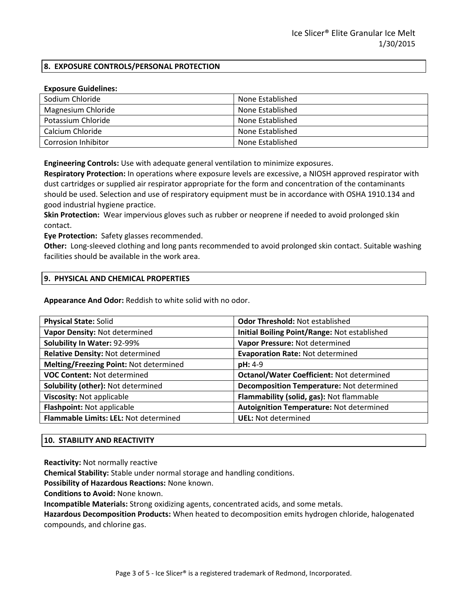# **8. EXPOSURE CONTROLS/PERSONAL PROTECTION**

#### **Exposure Guidelines:**

| Sodium Chloride            | None Established |
|----------------------------|------------------|
| Magnesium Chloride         | None Established |
| Potassium Chloride         | None Established |
| Calcium Chloride           | None Established |
| <b>Corrosion Inhibitor</b> | None Established |

**Engineering Controls:** Use with adequate general ventilation to minimize exposures.

**Respiratory Protection:** In operations where exposure levels are excessive, a NIOSH approved respirator with dust cartridges or supplied air respirator appropriate for the form and concentration of the contaminants should be used. Selection and use of respiratory equipment must be in accordance with OSHA 1910.134 and good industrial hygiene practice.

**Skin Protection:** Wear impervious gloves such as rubber or neoprene if needed to avoid prolonged skin contact.

**Eye Protection:** Safety glasses recommended.

**Other:** Long-sleeved clothing and long pants recommended to avoid prolonged skin contact. Suitable washing facilities should be available in the work area.

#### **9. PHYSICAL AND CHEMICAL PROPERTIES**

**Appearance And Odor:** Reddish to white solid with no odor.

| <b>Odor Threshold: Not established</b>           |  |
|--------------------------------------------------|--|
| Initial Boiling Point/Range: Not established     |  |
| Vapor Pressure: Not determined                   |  |
| <b>Evaporation Rate: Not determined</b>          |  |
| $pH: 4-9$                                        |  |
| <b>Octanol/Water Coefficient: Not determined</b> |  |
| Decomposition Temperature: Not determined        |  |
| Flammability (solid, gas): Not flammable         |  |
| Autoignition Temperature: Not determined         |  |
| <b>UEL: Not determined</b>                       |  |
|                                                  |  |

## **10. STABILITY AND REACTIVITY**

**Reactivity:** Not normally reactive

**Chemical Stability:** Stable under normal storage and handling conditions.

**Possibility of Hazardous Reactions:** None known.

**Conditions to Avoid:** None known.

**Incompatible Materials:** Strong oxidizing agents, concentrated acids, and some metals.

**Hazardous Decomposition Products:** When heated to decomposition emits hydrogen chloride, halogenated compounds, and chlorine gas.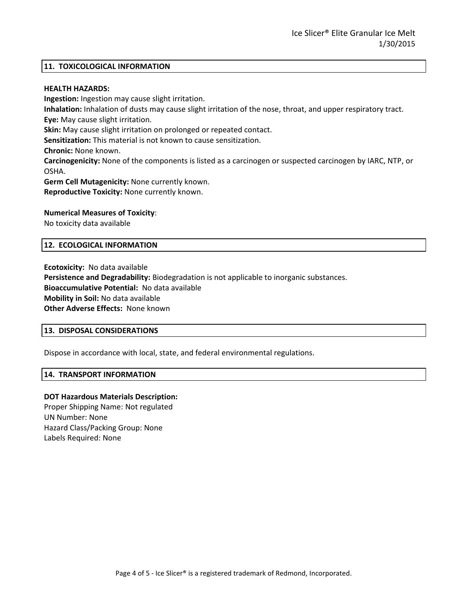#### **11. TOXICOLOGICAL INFORMATION**

#### **HEALTH HAZARDS:**

**Ingestion:** Ingestion may cause slight irritation. **Inhalation:** Inhalation of dusts may cause slight irritation of the nose, throat, and upper respiratory tract. **Eye:** May cause slight irritation. **Skin:** May cause slight irritation on prolonged or repeated contact. **Sensitization:** This material is not known to cause sensitization. **Chronic:** None known. **Carcinogenicity:** None of the components is listed as a carcinogen or suspected carcinogen by IARC, NTP, or OSHA. **Germ Cell Mutagenicity:** None currently known. **Reproductive Toxicity:** None currently known.

#### **Numerical Measures of Toxicity**:

No toxicity data available

#### **12. ECOLOGICAL INFORMATION**

**Ecotoxicity:** No data available **Persistence and Degradability:** Biodegradation is not applicable to inorganic substances. **Bioaccumulative Potential:** No data available **Mobility in Soil:** No data available **Other Adverse Effects:** None known

#### **13. DISPOSAL CONSIDERATIONS**

Dispose in accordance with local, state, and federal environmental regulations.

#### **14. TRANSPORT INFORMATION**

#### **DOT Hazardous Materials Description:**

Proper Shipping Name: Not regulated UN Number: None Hazard Class/Packing Group: None Labels Required: None